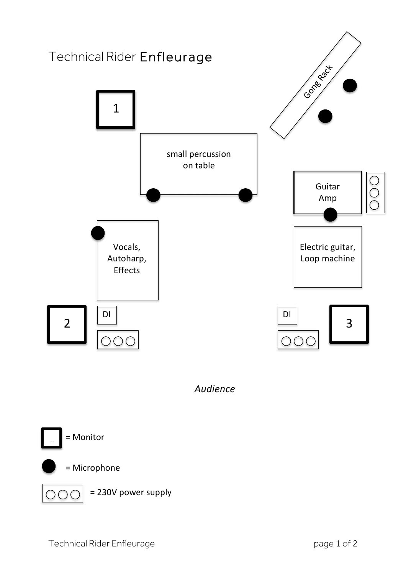